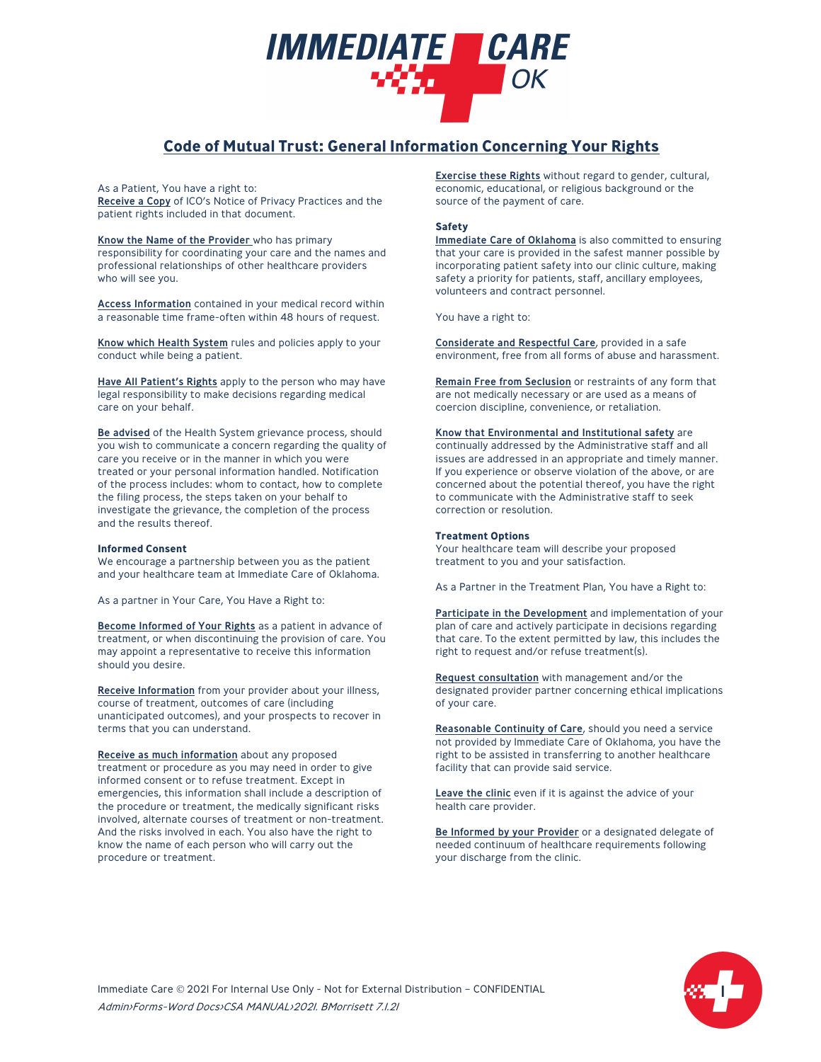# **Code of Mutual Trust: General Information Concerning Your Rights**

*IMMEDIATE CARE* 

As a Patient, You have a right to:

Receive a Copy of ICO's Notice of Privacy Practices and the patient rights included in that document.

Know the Name of the Provider who has primary responsibility for coordinating your care and the names and professional relationships of other healthcare providers who will see you.

Access Information contained in your medical record within a reasonable time frame-often within 48 hours of request.

Know which Health System rules and policies apply to your conduct while being a patient.

Have All Patient's Rights apply to the person who may have legal responsibility to make decisions regarding medical care on your behalf.

Be advised of the Health System grievance process, should you wish to communicate a concern regarding the quality of care you receive or in the manner in which you were treated or your personal information handled. Notification of the process includes: whom to contact, how to complete the filing process, the steps taken on your behalf to investigate the grievance, the completion of the process and the results thereof.

### **Informed Consent**

We encourage a partnership between you as the patient and your healthcare team at Immediate Care of Oklahoma.

As a partner in Your Care, You Have a Right to:

Become Informed of Your Rights as a patient in advance of treatment, or when discontinuing the provision of care. You may appoint a representative to receive this information should you desire.

Receive Information from your provider about your illness, course of treatment, outcomes of care (including unanticipated outcomes), and your prospects to recover in terms that you can understand.

Receive as much information about any proposed treatment or procedure as you may need in order to give informed consent or to refuse treatment. Except in emergencies, this information shall include a description of the procedure or treatment, the medically significant risks involved, alternate courses of treatment or non-treatment. And the risks involved in each. You also have the right to know the name of each person who will carry out the procedure or treatment.

Exercise these Rights without regard to gender, cultural, economic, educational, or religious background or the source of the payment of care.

# **Safety**

Immediate Care of Oklahoma is also committed to ensuring that your care is provided in the safest manner possible by incorporating patient safety into our clinic culture, making safety a priority for patients, staff, ancillary employees, volunteers and contract personnel.

You have a right to:

Considerate and Respectful Care, provided in a safe environment, free from all forms of abuse and harassment.

Remain Free from Seclusion or restraints of any form that are not medically necessary or are used as a means of coercion discipline, convenience, or retaliation.

Know that Environmental and Institutional safety are continually addressed by the Administrative staff and all issues are addressed in an appropriate and timely manner. If you experience or observe violation of the above, or are concerned about the potential thereof, you have the right to communicate with the Administrative staff to seek

### **Treatment Options**

correction or resolution.

Your healthcare team will describe your proposed treatment to you and your satisfaction.

As a Partner in the Treatment Plan, You have a Right to:

Participate in the Development and implementation of your plan of care and actively participate in decisions regarding that care. To the extent permitted by law, this includes the right to request and/or refuse treatment(s).

Request consultation with management and/or the designated provider partner concerning ethical implications of your care.

Reasonable Continuity of Care, should you need a service not provided by Immediate Care of Oklahoma, you have the right to be assisted in transferring to another healthcare facility that can provide said service.

Leave the clinic even if it is against the advice of your health care provider.

Be Informed by your Provider or a designated delegate of needed continuum of healthcare requirements following your discharge from the clinic.